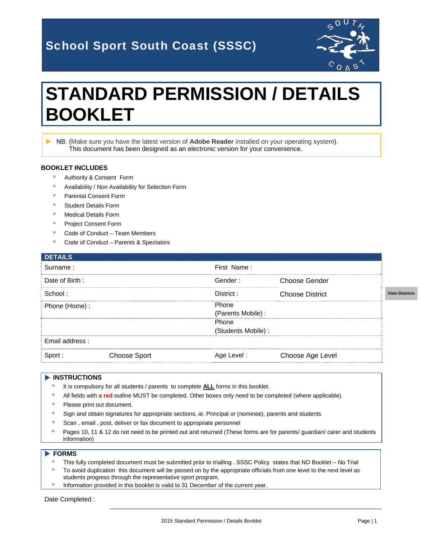## School Sport South Coast (SSSC)



# **STANDARD PERMISSION / DETAILS BOOKLET**

 NB. (Make sure you have the latest version of **Adobe Reader** installed on your operating system). This document has been designed as an electronic version for your convenience.

#### **BOOKLET INCLUDES**

- Authority & Consent Form
- **Availability / Non Availability for Selection Form**
- Parental Consent Form
- Student Details Form
- Medical Details Form
- Project Consent Form
- Code of Conduct Team Members
- Code of Conduct Parents & Spectators

|              | First Name: |                        |                                           |
|--------------|-------------|------------------------|-------------------------------------------|
|              | Gender:     | Choose Gender          |                                           |
|              | District:   | <b>Choose District</b> | <b>View Districts</b>                     |
|              | Phone       |                        |                                           |
|              |             |                        |                                           |
|              | Phone       |                        |                                           |
|              |             |                        |                                           |
|              |             |                        |                                           |
| Choose Sport | Age Level:  | Choose Age Level       |                                           |
|              |             |                        | (Parents Mobile) :<br>(Students Mobile) : |

#### **INSTRUCTIONS**

- It is compulsory for all students / parents to complete **ALL** forms in this booklet.
- All fields with a **red** outline MUST be completed. Other boxes only need to be completed (where applicable).
- Please print out document.
- Sign and obtain signatures for appropriate sections. ie. Principal or (nominee), parents and students
- Scan, email, post, deliver or fax document to appropriate personnel
- Pages 10, 11 & 12 do not need to be printed out and returned (These forms are for parents/ guardian/ carer and students information)

#### **FORMS**

- This fully completed document must be submitted prior to trialling . SSSC Policy states that NO Booklet No Trial
- To avoid duplication this document will be passed on by the appropriate officials from one level to the next level as students progress through the representative sport program.
- Information provided in this booklet is valid to 31 December of the current year.

Date Completed :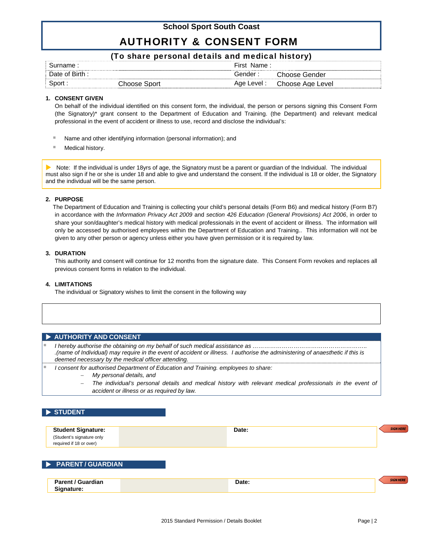### AUTHORITY & CONSENT FORM

#### (To share personal details and medical history)

| ≅umame.               |      | --<br>First<br>Name : |                  |
|-----------------------|------|-----------------------|------------------|
| <b>Birth</b><br>. Ate |      |                       | Gender           |
| ⊰n∩rt                 | inor | Level :<br>Age        | Choose Age Level |

#### **1. CONSENT GIVEN**

 On behalf of the individual identified on this consent form, the individual, the person or persons signing this Consent Form (the Signatory)\* grant consent to the Department of Education and Training. (the Department) and relevant medical professional in the event of accident or illness to use, record and disclose the individual's:

- Name and other identifying information (personal information); and
- Medical history.

 Note: If the individual is under 18yrs of age, the Signatory must be a parent or guardian of the Individual. The individual must also sign if he or she is under 18 and able to give and understand the consent. If the individual is 18 or older, the Signatory and the individual will be the same person.

#### **2. PURPOSE**

 The Department of Education and Training is collecting your child's personal details (Form B6) and medical history (Form B7) in accordance with the *Information Privacy Act 2009* and *section 426 Education (General Provisions) Act 2006*, in order to share your son/daughter's medical history with medical professionals in the event of accident or illness. The information will only be accessed by authorised employees within the Department of Education and Training.. This information will not be given to any other person or agency unless either you have given permission or it is required by law.

#### **3. DURATION**

 This authority and consent will continue for 12 months from the signature date. This Consent Form revokes and replaces all previous consent forms in relation to the individual.

#### **4. LIMITATIONS**

The individual or Signatory wishes to limit the consent in the following way

#### **AUTHORITY AND CONSENT**

 *I hereby authorise the obtaining on my behalf of such medical assistance as ………………………………………………….. .(name of Individual) may require in the event of accident or illness. I authorise the administering of anaesthetic if this is deemed necessary by the medical officer attending.* 

*I consent for authorised Department of Education and Training. employees to share:* 

- *My personal details, and*
- *The individual's personal details and medical history with relevant medical professionals in the event of accident or illness or as required by law.*

#### **STUDENT**

| <b>Student Signature:</b><br>(Student's signature only<br>required if 18 or over) | Date: | <b>SIGN HERE</b> |
|-----------------------------------------------------------------------------------|-------|------------------|
| <b>DEPARENT/GUARDIAN</b>                                                          |       |                  |
| <b>Parent / Guardian</b><br>Signature:                                            | Date: | <b>SIGN HERE</b> |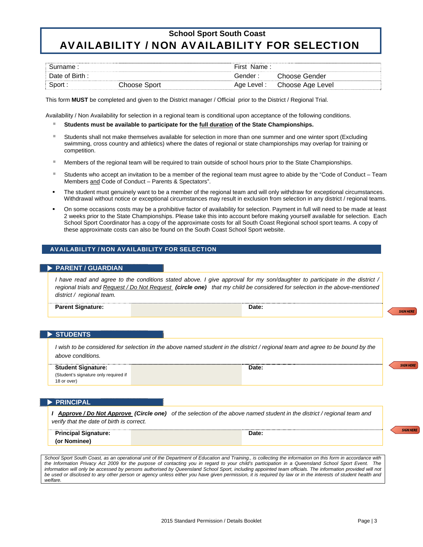### **School Sport South Coast** AVAILABILITY / NON AVAILABILITY FOR SELECTION

| mame.         |                   | First<br>Name . |                     |
|---------------|-------------------|-----------------|---------------------|
| Date of Birth |                   | ander .         | Choose.<br>Gender   |
| ⊰n∩rt         | `hoose :<br>sport | Age Level .     | Choose Age<br>Level |

This form **MUST** be completed and given to the District manager / Official prior to the District / Regional Trial.

Availability / Non Availability for selection in a regional team is conditional upon acceptance of the following conditions.

- **Students must be available to participate for the full duration of the State Championships.**
- Students shall not make themselves available for selection in more than one summer and one winter sport (Excluding swimming, cross country and athletics) where the dates of regional or state championships may overlap for training or competition.
- **Members of the regional team will be required to train outside of school hours prior to the State Championships.**
- Students who accept an invitation to be a member of the regional team must agree to abide by the "Code of Conduct Team Members and Code of Conduct – Parents & Spectators".
- The student must genuinely want to be a member of the regional team and will only withdraw for exceptional circumstances. Withdrawal without notice or exceptional circumstances may result in exclusion from selection in any district / regional teams.
- On some occasions costs may be a prohibitive factor of availability for selection. Payment in full will need to be made at least 2 weeks prior to the State Championships. Please take this into account before making yourself available for selection. Each School Sport Coordinator has a copy of the approximate costs for all South Coast Regional school sport teams. A copy of these approximate costs can also be found on the South Coast School Sport website.

#### AVAILABILITY / NON AVAILABILITY FOR SELECTION

#### **PARENT / GUARDIAN**

*I have read and agree to the conditions stated above. I give approval for my son/daughter to participate in the district / regional trials and Request / Do Not Request (circle one) that my child be considered for selection in the above-mentioned district / regional team.* 

**Parent Signature:** Date: **Date: Date: Date: Date: Date: Date: Date: Date: Date: Date: Date: Date: Date: Date: Date: Date: Date: Date: Date: Date: Date: Date: Date: Date: Dat** 

#### **STUDENTS**

*I* wish to be considered for selection in the above named student in the district / regional team and agree to be bound by the *above conditions.* 

| <b>Student Signature:</b>             | Date: | <b>SIGN HERE</b> |
|---------------------------------------|-------|------------------|
| (Student's signature only required if |       |                  |
| 18 or over)                           |       |                  |

#### **PRINCIPAL**

*I Approve / Do Not Approve (Circle one) of the selection of the above named student in the district / regional team and verify that the date of birth is correct.*

| <b>Principal Signature:</b> | Date: |  |
|-----------------------------|-------|--|
| (or Nominee)                |       |  |

School Sport South Coast, as an operational unit of the Department of Education and Training., is collecting the information on this form in accordance with *the Information Privacy Act 2009 for the purpose of contacting you in regard to your child's participation in a Queensland School Sport Event. The*  information will only be accessed by persons authorised by Queensland School Sport, including appointed team officials. The information provided will not *be used or disclosed to any other person or agency unless either you have given permission, it is required by law or in the interests of student health and welfare.* 

**SIGN HERE** 

**SIGN HERE**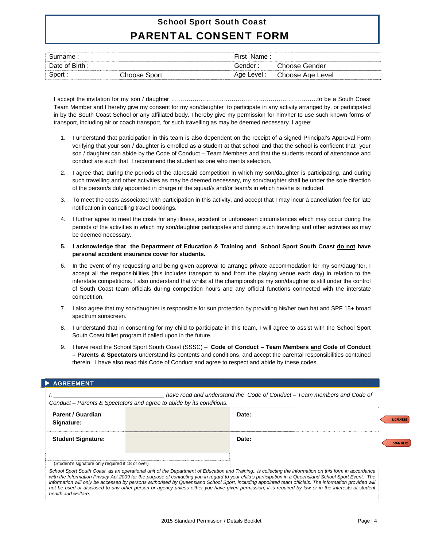### School Sport South Coast PARENTAL CONSENT FORM

| Surname:      |              | First Name: |                                        |
|---------------|--------------|-------------|----------------------------------------|
| Date of Birth |              | Gender :    | $\cap$ hoose $\overline{\ }$<br>Gender |
| Sport :       | Choose Sport | Age Level : | Choose Age Level                       |

I accept the invitation for my son / daughter …………………………………………………………………to be a South Coast Team Member and I hereby give my consent for my son/daughter to participate in any activity arranged by, or participated in by the South Coast School or any affiliated body. I hereby give my permission for him/her to use such known forms of transport, including air or coach transport, for such travelling as may be deemed necessary. I agree:

- 1. I understand that participation in this team is also dependent on the receipt of a signed Principal's Approval Form verifying that your son / daughter is enrolled as a student at that school and that the school is confident that your son / daughter can abide by the Code of Conduct – Team Members and that the students record of attendance and conduct are such that I recommend the student as one who merits selection.
- 2. I agree that, during the periods of the aforesaid competition in which my son/daughter is participating, and during such travelling and other activities as may be deemed necessary, my son/daughter shall be under the sole direction of the person/s duly appointed in charge of the squad/s and/or team/s in which he/she is included.
- 3. To meet the costs associated with participation in this activity, and accept that I may incur a cancellation fee for late notification in cancelling travel bookings.
- 4. I further agree to meet the costs for any illness, accident or unforeseen circumstances which may occur during the periods of the activities in which my son/daughter participates and during such travelling and other activities as may be deemed necessary.
- **5. I acknowledge that the Department of Education & Training and School Sport South Coast do not have personal accident insurance cover for students.**
- 6. In the event of my requesting and being given approval to arrange private accommodation for my son/daughter, I accept all the responsibilities (this includes transport to and from the playing venue each day) in relation to the interstate competitions. I also understand that whilst at the championships my son/daughter is still under the control of South Coast team officials during competition hours and any official functions connected with the interstate competition.
- 7. I also agree that my son/daughter is responsible for sun protection by providing his/her own hat and SPF 15+ broad spectrum sunscreen.
- 8. I understand that in consenting for my child to participate in this team, I will agree to assist with the School Sport South Coast billet program if called upon in the future.
- 9. I have read the School Sport South Coast (SSSC) **Code of Conduct Team Members and Code of Conduct – Parents & Spectators** understand its contents and conditions, and accept the parental responsibilities contained therein. I have also read this Code of Conduct and agree to respect and abide by these codes.

| <b>AGREEMENT</b>                                  |                                                                      |                                                                                                                                                                                                                                                                                                                                                                                                                                                                                                                                                                                                                                     |                 |
|---------------------------------------------------|----------------------------------------------------------------------|-------------------------------------------------------------------------------------------------------------------------------------------------------------------------------------------------------------------------------------------------------------------------------------------------------------------------------------------------------------------------------------------------------------------------------------------------------------------------------------------------------------------------------------------------------------------------------------------------------------------------------------|-----------------|
|                                                   |                                                                      | have read and understand the Code of Conduct – Team members and Code of                                                                                                                                                                                                                                                                                                                                                                                                                                                                                                                                                             |                 |
|                                                   | Conduct – Parents & Spectators and agree to abide by its conditions. |                                                                                                                                                                                                                                                                                                                                                                                                                                                                                                                                                                                                                                     |                 |
| Parent / Guardian<br>Signature:                   |                                                                      | Date:                                                                                                                                                                                                                                                                                                                                                                                                                                                                                                                                                                                                                               | <b>SIGN HEI</b> |
| <b>Student Signature:</b>                         |                                                                      | Date:                                                                                                                                                                                                                                                                                                                                                                                                                                                                                                                                                                                                                               |                 |
| (Student's signature only required if 18 or over) |                                                                      |                                                                                                                                                                                                                                                                                                                                                                                                                                                                                                                                                                                                                                     |                 |
| health and welfare.                               |                                                                      | School Sport South Coast, as an operational unit of the Department of Education and Training., is collecting the information on this form in accordance<br>with the Information Privacy Act 2009 for the purpose of contacting you in regard to your child's participation in a Queensland School Sport Event. The<br>information will only be accessed by persons authorised by Queensland School Sport, including appointed team officials. The information provided will<br>not be used or disclosed to any other person or agency unless either you have given permission, it is required by law or in the interests of student |                 |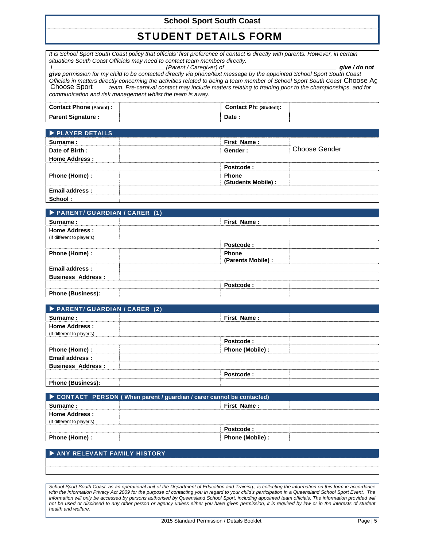### STUDENT DETAILS FORM

*It is School Sport South Coast policy that officials' first preference of contact is directly with parents. However, in certain situations South Coast Officials may need to contact team members directly.* 

 *I \_\_\_\_\_\_\_\_\_\_\_\_\_\_\_\_\_\_\_\_\_\_\_\_\_\_\_\_\_\_\_\_\_\_ (Parent / Caregiver) of \_\_\_\_\_\_\_\_\_\_\_\_\_\_\_\_\_\_\_\_\_\_\_\_\_\_\_\_\_\_\_\_\_\_ give / do not give permission for my child to be contacted directly via phone/text message by the appointed School Sport South Coast Officials in matters directly concerning the activities related to being a team member of School Sport South Coast Choose Ac<sup>1</sup><br>Choose Sport <u>team.</u> Pre-carnival contact may include matters relating to training prior to t \_\_\_\_\_\_\_\_\_\_\_\_\_\_\_\_\_\_ team. Pre-carnival contact may include matters relating to training prior to the championships, and for communication and risk management whilst the team is away.*

| <b>Contact Phone (Parent):</b> | <b>Contact Ph: (Student):</b> |  |
|--------------------------------|-------------------------------|--|
| <b>Parent Signature:</b>       | Date                          |  |

| <b>DE PLAYER DETAILS</b> |                                 |  |
|--------------------------|---------------------------------|--|
| Surname:                 | First Name:                     |  |
| Date of Birth:           | <b>Choose Gender</b><br>Gender: |  |
| <b>Home Address:</b>     |                                 |  |
|                          | Postcode :                      |  |
| Phone (Home) :           | <b>Phone</b>                    |  |
|                          | (Students Mobile) :             |  |
| Email address:           |                                 |  |
|                          |                                 |  |

| PARENT/ GUARDIAN / CARER (1) |                    |  |
|------------------------------|--------------------|--|
| Surname:                     | First Name:        |  |
| <b>Home Address:</b>         |                    |  |
| (If different to player's)   |                    |  |
|                              | Postcode:          |  |
| Phone (Home) :               | <b>Phone</b>       |  |
|                              | (Parents Mobile) : |  |
| <b>Email address:</b>        |                    |  |
| <b>Business Address:</b>     |                    |  |
|                              | Postcode:          |  |
| <b>Phone (Business):</b>     |                    |  |

| PARENT/ GUARDIAN / CARER (2) |                  |  |
|------------------------------|------------------|--|
| Surname:                     | First Name:      |  |
| <b>Home Address:</b>         |                  |  |
| (If different to player's)   |                  |  |
|                              | Postcode:        |  |
| Phone (Home) :               | Phone (Mobile) : |  |
| <b>Email address:</b>        |                  |  |
| <b>Business Address:</b>     |                  |  |
|                              | Postcode:        |  |
| <b>Phone (Business):</b>     |                  |  |
|                              |                  |  |

| CONTACT PERSON (When parent / guardian / carer cannot be contacted) |                  |  |  |  |
|---------------------------------------------------------------------|------------------|--|--|--|
| Surname:                                                            | First Name:      |  |  |  |
| <b>Home Address:</b>                                                |                  |  |  |  |
| (If different to player's)                                          |                  |  |  |  |
|                                                                     | Postcode:        |  |  |  |
| Phone (Home) :                                                      | Phone (Mobile) : |  |  |  |

#### ANY RELEVANT FAMILY HISTORY

*School Sport South Coast, as an operational unit of the Department of Education and Training., is collecting the information on this form in accordance*  with the Information Privacy Act 2009 for the purpose of contacting you in regard to your child's participation in a Queensland School Sport Event. The information will only be accessed by persons authorised by Queensland School Sport, including appointed team officials. The information provided will not be used or disclosed to any other person or agency unless either you have given permission, it is required by law or in the interests of student *health and welfare.*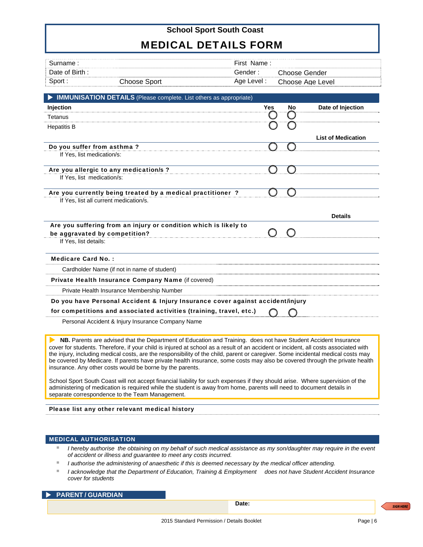### MEDICAL DETAILS FORM

| First Name:<br>Surname :                                                       |            |    |                           |
|--------------------------------------------------------------------------------|------------|----|---------------------------|
| Date of Birth:<br>Gender:                                                      |            |    | <b>Choose Gender</b>      |
| Sport:<br>Age Level:<br><b>Choose Sport</b>                                    |            |    | Choose Age Level          |
| <b>IMMUNISATION DETAILS</b> (Please complete. List others as appropriate)      |            |    |                           |
| Injection                                                                      | <b>Yes</b> | No | Date of Injection         |
| Tetanus                                                                        |            | Ω  |                           |
| <b>Hepatitis B</b>                                                             |            |    |                           |
|                                                                                |            |    | <b>List of Medication</b> |
| Do you suffer from asthma?                                                     |            |    |                           |
| If Yes, list medication/s:                                                     |            |    |                           |
| Are you allergic to any medication/s ?                                         |            |    |                           |
| If Yes, list medication/s:                                                     |            |    |                           |
|                                                                                |            |    |                           |
| Are you currently being treated by a medical practitioner?                     |            |    |                           |
| If Yes, list all current medication/s.                                         |            |    |                           |
|                                                                                |            |    | <b>Details</b>            |
| Are you suffering from an injury or condition which is likely to               |            |    |                           |
| be aggravated by competition?                                                  | ∩          |    |                           |
| If Yes, list details:                                                          |            |    |                           |
| <b>Medicare Card No.:</b>                                                      |            |    |                           |
| Cardholder Name (if not in name of student)                                    |            |    |                           |
| Private Health Insurance Company Name (if covered)                             |            |    |                           |
|                                                                                |            |    |                           |
| Private Health Insurance Membership Number                                     |            |    |                           |
| Do you have Personal Accident & Injury Insurance cover against accident/injury |            |    |                           |
| for competitions and associated activities (training, travel, etc.)            |            |    |                           |
| Personal Accident & Injury Insurance Company Name                              |            |    |                           |

School Sport South Coast will not accept financial liability for such expenses if they should arise. Where supervision of the administering of medication is required while the student is away from home, parents will need to document details in separate correspondence to the Team Management.

#### Please list any other relevant medical history

#### MEDICAL AUTHORISATION

- *I* hereby authorise the obtaining on my behalf of such medical assistance as my son/daughter may require in the event *of accident or illness and guarantee to meet any costs incurred.*
- *I authorise the administering of anaesthetic if this is deemed necessary by the medical officer attending.*
- *I acknowledge that the Department of Education, Training & Employment does not have Student Accident Insurance cover for students*

#### **PARENT / GUARDIAN**

 **Date:**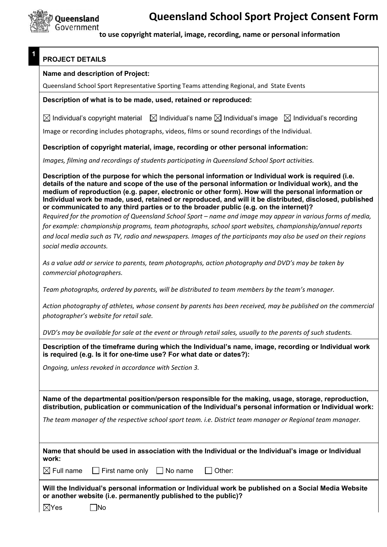

**1** 

 **to use copyright material, image, recording, name or personal information** 

### **PROJECT DETAILS**

#### **Name and description of Project:**

Queensland School Sport Representative Sporting Teams attending Regional, and State Events

#### **Description of what is to be made, used, retained or reproduced:**

 $\boxtimes$  Individual's copyright material  $\boxtimes$  Individual's name  $\boxtimes$  Individual's image  $\boxtimes$  Individual's recording

Image or recording includes photographs, videos, films or sound recordings of the Individual.

**Description of copyright material, image, recording or other personal information:** 

*Images, filming and recordings of students participating in Queensland School Sport activities.*

**Description of the purpose for which the personal information or Individual work is required (i.e. details of the nature and scope of the use of the personal information or Individual work), and the medium of reproduction (e.g. paper, electronic or other form). How will the personal information or Individual work be made, used, retained or reproduced, and will it be distributed, disclosed, published or communicated to any third parties or to the broader public (e.g. on the internet)?** 

*Required for the promotion of Queensland School Sport – name and image may appear in various forms of media, for example: championship programs, team photographs, school sport websites, championship/annual reports and local media such as TV, radio and newspapers. Images of the participants may also be used on their regions social media accounts.* 

*As a value add or service to parents, team photographs, action photography and DVD's may be taken by commercial photographers.* 

*Team photographs, ordered by parents, will be distributed to team members by the team's manager.* 

*Action photography of athletes, whose consent by parents has been received, may be published on the commercial photographer's website for retail sale.* 

*DVD's may be available for sale at the event or through retail sales, usually to the parents of such students.*

**Description of the timeframe during which the Individual's name, image, recording or Individual work is required (e.g. Is it for one-time use? For what date or dates?):** 

*Ongoing, unless revoked in accordance with Section 3.*

**Name of the departmental position/person responsible for the making, usage, storage, reproduction, distribution, publication or communication of the Individual's personal information or Individual work:** 

*The team manager of the respective school sport team. i.e. District team manager or Regional team manager.*

| work:                                                                                                                                                                  |                                                                           |  | Name that should be used in association with the Individual or the Individual's image or Individual |  |
|------------------------------------------------------------------------------------------------------------------------------------------------------------------------|---------------------------------------------------------------------------|--|-----------------------------------------------------------------------------------------------------|--|
|                                                                                                                                                                        | $\boxtimes$ Full name $\Box$ First name only $\Box$ No name $\Box$ Other: |  |                                                                                                     |  |
| Will the Individual's personal information or Individual work be published on a Social Media Website<br>or another website (i.e. permanently published to the public)? |                                                                           |  |                                                                                                     |  |
| $\boxtimes$ Yes                                                                                                                                                        | .<br>INo                                                                  |  |                                                                                                     |  |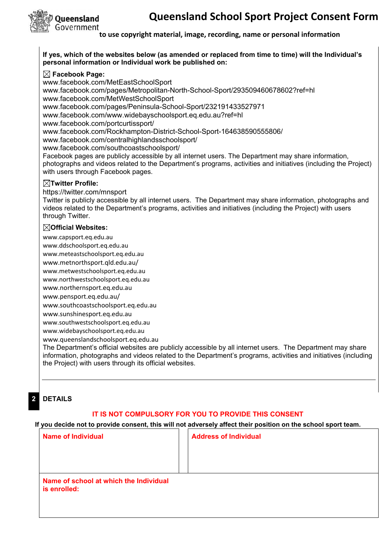

#### **If yes, which of the websites below (as amended or replaced from time to time) will the Individual's personal information or Individual work be published on:**

#### **Facebook Page:**

www.facebook.com/MetEastSchoolSport www.facebook.com/pages/Metropolitan-North-School-Sport/293509460678602?ref=hl www.facebook.com/MetWestSchoolSport www.facebook.com/pages/Peninsula-School-Sport/232191433527971 www.facebook.com/www.widebayschoolsport.eq.edu.au?ref=hl www.facebook.com/portcurtissport/ www.facebook.com/Rockhampton-District-School-Sport-164638590555806/ www.facebook.com/centralhighlandsschoolsport/ www.facebook.com/southcoastschoolsport/ Facebook pages are publicly accessible by all internet users. The Department may share information, photographs and videos related to the Department's programs, activities and initiatives (including the Project) with users through Facebook pages.

#### **Twitter Profile:**

https://twitter.com/mnsport

Twitter is publicly accessible by all internet users. The Department may share information, photographs and videos related to the Department's programs, activities and initiatives (including the Project) with users through Twitter.

#### **Official Websites:**

www.capsport.eq.edu.au

www.ddschoolsport.eq.edu.au

www.meteastschoolsport.eq.edu.au

www.metnorthsport.qld.edu.au/

www.metwestschoolsport.eq.edu.au

www.northwestschoolsport.eq.edu.au

www.northernsport.eq.edu.au

www.pensport.eq.edu.au/

www.southcoastschoolsport.eq.edu.au

www.sunshinesport.eq.edu.au

www.southwestschoolsport.eq.edu.au

www.widebayschoolsport.eq.edu.au

www.queenslandschoolsport.eq.edu.au

The Department's official websites are publicly accessible by all internet users. The Department may share information, photographs and videos related to the Department's programs, activities and initiatives (including the Project) with users through its official websites.

#### **2 DETAILS**

#### **IT IS NOT COMPULSORY FOR YOU TO PROVIDE THIS CONSENT**

**If you decide not to provide consent, this will not adversely affect their position on the school sport team.**

| <b>Name of Individual</b>                              | <b>Address of Individual</b> |
|--------------------------------------------------------|------------------------------|
|                                                        |                              |
|                                                        |                              |
| Name of school at which the Individual<br>is enrolled: |                              |
|                                                        |                              |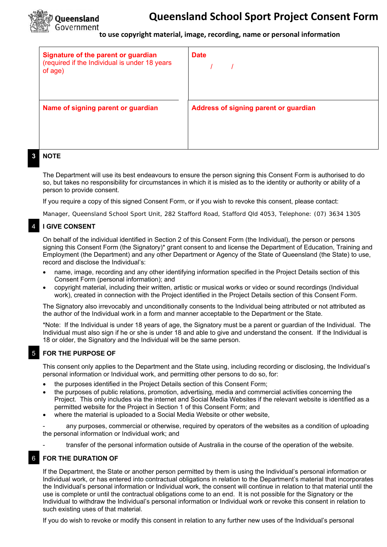

| Signature of the parent or guardian<br>(required if the Individual is under 18 years<br>of age) | <b>Date</b>                           |
|-------------------------------------------------------------------------------------------------|---------------------------------------|
| Name of signing parent or guardian                                                              | Address of signing parent or guardian |
| $\cdots$                                                                                        |                                       |

#### **3 NOTE**

 The Department will use its best endeavours to ensure the person signing this Consent Form is authorised to do so, but takes no responsibility for circumstances in which it is misled as to the identity or authority or ability of a person to provide consent.

If you require a copy of this signed Consent Form, or if you wish to revoke this consent, please contact:

Manager, Queensland School Sport Unit, 282 Stafford Road, Stafford Qld 4053, Telephone: (07) 3634 1305

#### 4 **I GIVE CONSENT**

 On behalf of the individual identified in Section 2 of this Consent Form (the Individual), the person or persons signing this Consent Form (the Signatory)\* grant consent to and license the Department of Education, Training and Employment (the Department) and any other Department or Agency of the State of Queensland (the State) to use, record and disclose the Individual's:

- name, image, recording and any other identifying information specified in the Project Details section of this Consent Form (personal information); and
- copyright material, including their written, artistic or musical works or video or sound recordings (Individual work), created in connection with the Project identified in the Project Details section of this Consent Form.

The Signatory also irrevocably and unconditionally consents to the Individual being attributed or not attributed as the author of the Individual work in a form and manner acceptable to the Department or the State.

\*Note: If the Individual is under 18 years of age, the Signatory must be a parent or guardian of the Individual. The Individual must also sign if he or she is under 18 and able to give and understand the consent. If the Individual is 18 or older, the Signatory and the Individual will be the same person.

#### 5 **FOR THE PURPOSE OF**

 This consent only applies to the Department and the State using, including recording or disclosing, the Individual's personal information or Individual work, and permitting other persons to do so, for:

- the purposes identified in the Project Details section of this Consent Form;
- the purposes of public relations, promotion, advertising, media and commercial activities concerning the Project. This only includes via the internet and Social Media Websites if the relevant website is identified as a permitted website for the Project in Section 1 of this Consent Form; and
- where the material is uploaded to a Social Media Website or other website,

any purposes, commercial or otherwise, required by operators of the websites as a condition of uploading the personal information or Individual work; and

- transfer of the personal information outside of Australia in the course of the operation of the website.

#### 6 **FOR THE DURATION OF**

 If the Department, the State or another person permitted by them is using the Individual's personal information or Individual work, or has entered into contractual obligations in relation to the Department's material that incorporates the Individual's personal information or Individual work, the consent will continue in relation to that material until the use is complete or until the contractual obligations come to an end. It is not possible for the Signatory or the Individual to withdraw the Individual's personal information or Individual work or revoke this consent in relation to such existing uses of that material.

If you do wish to revoke or modify this consent in relation to any further new uses of the Individual's personal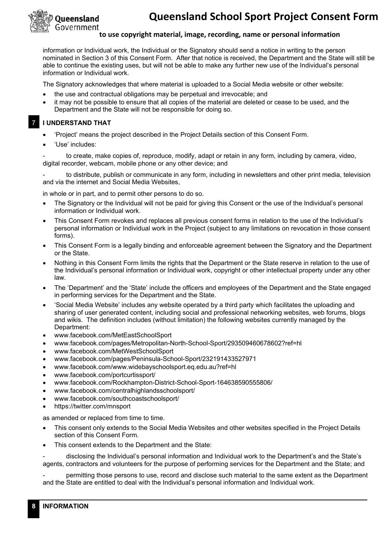

information or Individual work, the Individual or the Signatory should send a notice in writing to the person nominated in Section 3 of this Consent Form. After that notice is received, the Department and the State will still be able to continue the existing uses, but will not be able to make any further new use of the Individual's personal information or Individual work.

The Signatory acknowledges that where material is uploaded to a Social Media website or other website:

- the use and contractual obligations may be perpetual and irrevocable; and
- it may not be possible to ensure that all copies of the material are deleted or cease to be used, and the Department and the State will not be responsible for doing so.

- 7 **I UNDERSTAND THAT** 
	- 'Project' means the project described in the Project Details section of this Consent Form.
	- 'Use' includes:

to create, make copies of, reproduce, modify, adapt or retain in any form, including by camera, video, digital recorder, webcam, mobile phone or any other device; and

to distribute, publish or communicate in any form, including in newsletters and other print media, television and via the internet and Social Media Websites,

in whole or in part, and to permit other persons to do so.

- The Signatory or the Individual will not be paid for giving this Consent or the use of the Individual's personal information or Individual work.
- This Consent Form revokes and replaces all previous consent forms in relation to the use of the Individual's personal information or Individual work in the Project (subject to any limitations on revocation in those consent forms).
- This Consent Form is a legally binding and enforceable agreement between the Signatory and the Department or the State.
- Nothing in this Consent Form limits the rights that the Department or the State reserve in relation to the use of the Individual's personal information or Individual work, copyright or other intellectual property under any other law.
- The 'Department' and the 'State' include the officers and employees of the Department and the State engaged in performing services for the Department and the State.
- 'Social Media Website' includes any website operated by a third party which facilitates the uploading and sharing of user generated content, including social and professional networking websites, web forums, blogs and wikis. The definition includes (without limitation) the following websites currently managed by the Department:
- www.facebook.com/MetEastSchoolSport
- www.facebook.com/pages/Metropolitan-North-School-Sport/293509460678602?ref=hl
- www.facebook.com/MetWestSchoolSport
- www.facebook.com/pages/Peninsula-School-Sport/232191433527971
- www.facebook.com/www.widebayschoolsport.eq.edu.au?ref=hl
- www.facebook.com/portcurtissport/
- www.facebook.com/Rockhampton-District-School-Sport-164638590555806/
- www.facebook.com/centralhighlandsschoolsport/
- www.facebook.com/southcoastschoolsport/
- https://twitter.com/mnsport

as amended or replaced from time to time.

- This consent only extends to the Social Media Websites and other websites specified in the Project Details section of this Consent Form.
- This consent extends to the Department and the State:

- disclosing the Individual's personal information and Individual work to the Department's and the State's agents, contractors and volunteers for the purpose of performing services for the Department and the State; and

- permitting those persons to use, record and disclose such material to the same extent as the Department and the State are entitled to deal with the Individual's personal information and Individual work.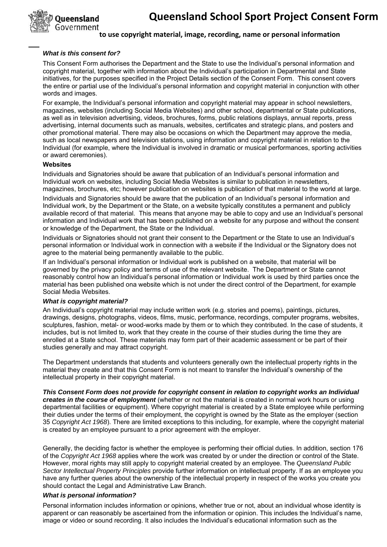

#### *What is this consent for?*

This Consent Form authorises the Department and the State to use the Individual's personal information and copyright material, together with information about the Individual's participation in Departmental and State initiatives, for the purposes specified in the Project Details section of the Consent Form. This consent covers the entire or partial use of the Individual's personal information and copyright material in conjunction with other words and images.

For example, the Individual's personal information and copyright material may appear in school newsletters, magazines, websites (including Social Media Websites) and other school, departmental or State publications, as well as in television advertising, videos, brochures, forms, public relations displays, annual reports, press advertising, internal documents such as manuals, websites, certificates and strategic plans, and posters and other promotional material. There may also be occasions on which the Department may approve the media, such as local newspapers and television stations, using information and copyright material in relation to the Individual (for example, where the Individual is involved in dramatic or musical performances, sporting activities or award ceremonies).

#### **Websites**

Individuals and Signatories should be aware that publication of an Individual's personal information and Individual work on websites, including Social Media Websites is similar to publication in newsletters, magazines, brochures, etc; however publication on websites is publication of that material to the world at large.

Individuals and Signatories should be aware that the publication of an Individual's personal information and Individual work, by the Department or the State, on a website typically constitutes a permanent and publicly available record of that material. This means that anyone may be able to copy and use an Individual's personal information and Individual work that has been published on a website for any purpose and without the consent or knowledge of the Department, the State or the Individual.

Individuals or Signatories should not grant their consent to the Department or the State to use an Individual's personal information or Individual work in connection with a website if the Individual or the Signatory does not agree to the material being permanently available to the public.

If an Individual's personal information or Individual work is published on a website, that material will be governed by the privacy policy and terms of use of the relevant website. The Department or State cannot reasonably control how an Individual's personal information or Individual work is used by third parties once the material has been published ona website which is not under the direct control of the Department, for example Social Media Websites.

#### *What is copyright material?*

An Individual's copyright material may include written work (e.g. stories and poems), paintings, pictures, drawings, designs, photographs, videos, films, music, performance, recordings, computer programs, websites, sculptures, fashion, metal- or wood-works made by them or to which they contributed. In the case of students, it includes, but is not limited to, work that they create in the course of their studies during the time they are enrolled at a State school. These materials may form part of their academic assessment or be part of their studies generally and may attract copyright.

The Department understands that students and volunteers generally own the intellectual property rights in the material they create and that this Consent Form is not meant to transfer the Individual's ownership of the intellectual property in their copyright material.

*This Consent Form does not provide for copyright consent in relation to copyright works an Individual creates in the course of employment* (whether or not the material is created in normal work hours or using departmental facilities or equipment). Where copyright material is created by a State employee while performing their duties under the terms of their employment, the copyright is owned by the State as the employer (section 35 *Copyright Act 1968*). There are limited exceptions to this including, for example, where the copyright material is created by an employee pursuant to a prior agreement with the employer.

Generally, the deciding factor is whether the employee is performing their official duties. In addition, section 176 of the *Copyright Act 1968* applies where the work was created by or under the direction or control of the State. However, moral rights may still apply to copyright material created by an employee. The *Queensland Public Sector Intellectual Property Principles* provide further information on intellectual property. If as an employee you have any further queries about the ownership of the intellectual property in respect of the works you create you should contact the Legal and Administrative Law Branch.

#### *What is personal information?*

Personal information includes information or opinions, whether true or not, about an individual whose identity is apparent or can reasonably be ascertained from the information or opinion. This includes the Individual's name, image or video or sound recording. It also includes the Individual's educational information such as the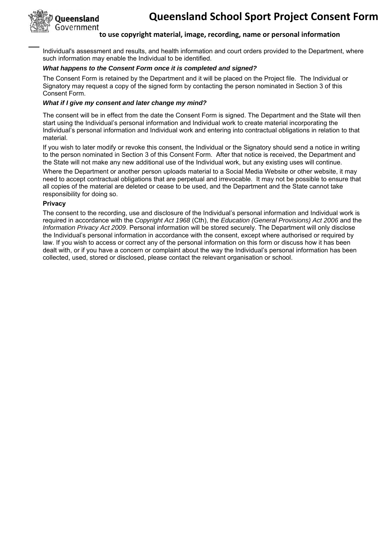

Individual's assessment and results, and health information and court orders provided to the Department, where such information may enable the Individual to be identified.

#### *What happens to the Consent Form once it is completed and signed?*

The Consent Form is retained by the Department and it will be placed on the Project file. The Individual or Signatory may request a copy of the signed form by contacting the person nominated in Section 3 of this Consent Form.

#### *What if I give my consent and later change my mind?*

The consent will be in effect from the date the Consent Form is signed. The Department and the State will then start using the Individual's personal information and Individual work to create material incorporating the Individual's personal information and Individual work and entering into contractual obligations in relation to that material.

If you wish to later modify or revoke this consent, the Individual or the Signatory should send a notice in writing to the person nominated in Section 3 of this Consent Form. After that notice is received, the Department and the State will not make any new additional use of the Individual work, but any existing uses will continue.

Where the Department or another person uploads material to a Social Media Website or other website, it may need to accept contractual obligations that are perpetual and irrevocable. It may not be possible to ensure that all copies of the material are deleted or cease to be used, and the Department and the State cannot take responsibility for doing so.

#### **Privacy**

The consent to the recording, use and disclosure of the Individual's personal information and Individual work is required in accordance with the *Copyright Act 1968* (Cth), the *Education (General Provisions) Act 2006* and the *Information Privacy Act 2009*. Personal information will be stored securely. The Department will only disclose the Individual's personal information in accordance with the consent, except where authorised or required by law. If you wish to access or correct any of the personal information on this form or discuss how it has been dealt with, or if you have a concern or complaint about the way the Individual's personal information has been collected, used, stored or disclosed, please contact the relevant organisation or school.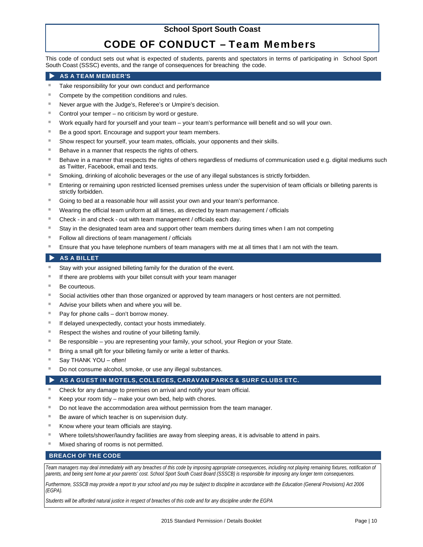### CODE OF CONDUCT – Team Members

This code of conduct sets out what is expected of students, parents and spectators in terms of participating inSchool Sport South Coast (SSSC) events, and the range of consequences for breaching the code.

#### AS A TEAM MEMBER'S

- Take responsibility for your own conduct and performance
- Compete by the competition conditions and rules.
- Never argue with the Judge's, Referee's or Umpire's decision.
- Control your temper no criticism by word or gesture.
- Work equally hard for yourself and your team your team's performance will benefit and so will your own.
- Be a good sport. Encourage and support your team members.
- Show respect for yourself, your team mates, officials, your opponents and their skills.
- Behave in a manner that respects the rights of others.
- Behave in a manner that respects the rights of others regardless of mediums of communication used e.g. digital mediums such as Twitter, Facebook, email and texts.
- Smoking, drinking of alcoholic beverages or the use of any illegal substances is strictly forbidden.
- Entering or remaining upon restricted licensed premises unless under the supervision of team officials or billeting parents is strictly forbidden.
- Going to bed at a reasonable hour will assist your own and your team's performance.
- Wearing the official team uniform at all times, as directed by team management / officials
- Check in and check out with team management / officials each day.
- Stay in the designated team area and support other team members during times when I am not competing
- Follow all directions of team management / officials
- Ensure that you have telephone numbers of team managers with me at all times that I am not with the team.

#### AS A BILLET

- Stay with your assigned billeting family for the duration of the event.
- If there are problems with your billet consult with your team manager
- Be courteous.
- Social activities other than those organized or approved by team managers or host centers are not permitted.
- Advise your billets when and where you will be.
- Pay for phone calls don't borrow money.
- If delayed unexpectedly, contact your hosts immediately.
- Respect the wishes and routine of your billeting family.
- Be responsible you are representing your family, your school, your Region or your State.
- Bring a small gift for your billeting family or write a letter of thanks.
- Say THANK YOU often!
- Do not consume alcohol, smoke, or use any illegal substances.

#### AS A GUEST IN MOTELS, COLLEGES, CARAVAN PARKS & SURF CLUBS ETC.

- Check for any damage to premises on arrival and notify your team official.
- Keep your room tidy make your own bed, help with chores.
- Do not leave the accommodation area without permission from the team manager.
- Be aware of which teacher is on supervision duty.
- Know where your team officials are staying.
- Where toilets/shower/laundry facilities are away from sleeping areas, it is advisable to attend in pairs.
- Mixed sharing of rooms is not permitted.

#### BREACH OF THE CODE

*Team managers may deal immediately with any breaches of this code by imposing appropriate consequences, including not playing remaining fixtures, notification of parents, and being sent home at your parents' cost. School Sport South Coast Board (SSSCB) is responsible for imposing any longer term consequences.* 

*Furthermore, SSSCB may provide a report to your school and you may be subject to discipline in accordance with the Education (General Provisions) Act 2006 (EGPA).* 

*Students will be afforded natural justice in respect of breaches of this code and for any discipline under the EGPA*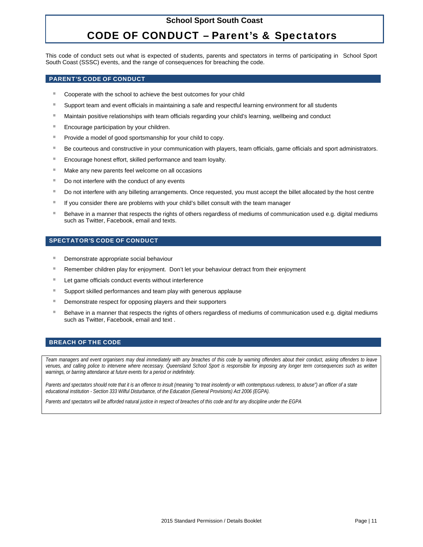### CODE OF CONDUCT – Parent's & Spectators

This code of conduct sets out what is expected of students, parents and spectators in terms of participating inSchool Sport South Coast (SSSC) events, and the range of consequences for breaching the code.

#### PARENT'S CODE OF CONDUCT

- Cooperate with the school to achieve the best outcomes for your child
- Support team and event officials in maintaining a safe and respectful learning environment for all students
- Maintain positive relationships with team officials regarding your child's learning, wellbeing and conduct
- Encourage participation by your children.
- **Provide a model of good sportsmanship for your child to copy.**
- **Be courteous and constructive in your communication with players, team officials, game officials and sport administrators.**
- **Encourage honest effort, skilled performance and team loyalty.**
- **Make any new parents feel welcome on all occasions**
- Do not interfere with the conduct of any events
- Do not interfere with any billeting arrangements. Once requested, you must accept the billet allocated by the host centre
- If you consider there are problems with your child's billet consult with the team manager
- Behave in a manner that respects the rights of others regardless of mediums of communication used e.g. digital mediums such as Twitter, Facebook, email and texts.

#### SPECTATOR'S CODE OF CONDUCT

- **Demonstrate appropriate social behaviour**
- Remember children play for enjoyment. Don't let your behaviour detract from their enjoyment
- **Let game officials conduct events without interference**
- Support skilled performances and team play with generous applause
- **E** Demonstrate respect for opposing players and their supporters
- Behave in a manner that respects the rights of others regardless of mediums of communication used e.g. digital mediums such as Twitter, Facebook, email and text .

#### BREACH OF THE CODE

*Team managers and event organisers may deal immediately with any breaches of this code by warning offenders about their conduct, asking offenders to leave venues, and calling police to intervene where necessary. Queensland School Sport is responsible for imposing any longer term consequences such as written warnings, or barring attendance at future events for a period or indefinitely.* 

Parents and spectators should note that it is an offence to insult (meaning "to treat insolently or with contemptuous rudeness, to abuse") an officer of a state *educational institution - Section 333 Wilful Disturbance, of the Education (General Provisions) Act 2006 (EGPA).* 

*Parents and spectators will be afforded natural justice in respect of breaches of this code and for any discipline under the EGPA*